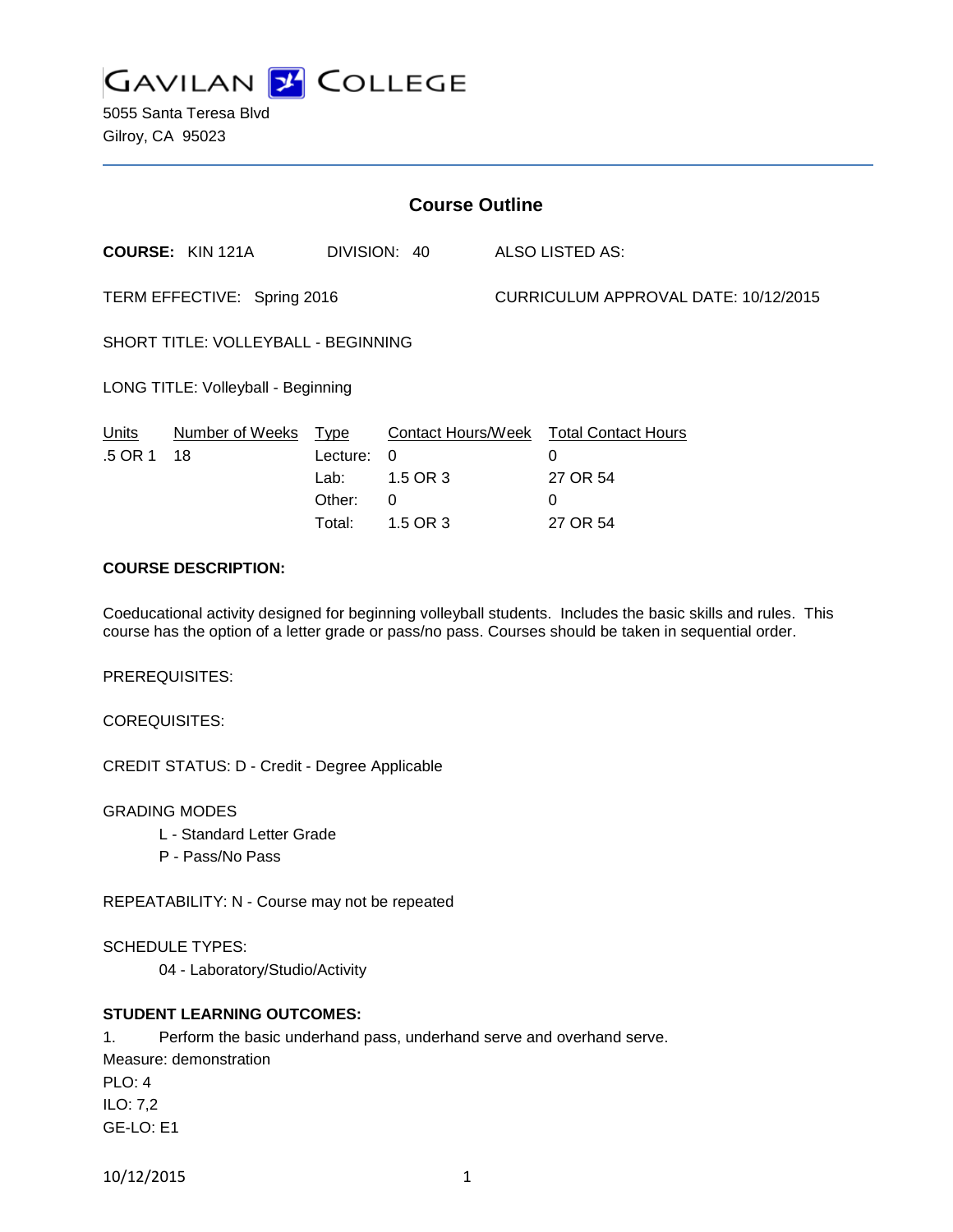

5055 Santa Teresa Blvd Gilroy, CA 95023

| <b>Course Outline</b>               |                         |                                                     |                                                             |                                      |                                                              |
|-------------------------------------|-------------------------|-----------------------------------------------------|-------------------------------------------------------------|--------------------------------------|--------------------------------------------------------------|
|                                     | <b>COURSE: KIN 121A</b> | DIVISION: 40                                        |                                                             |                                      | ALSO LISTED AS:                                              |
| TERM EFFECTIVE: Spring 2016         |                         |                                                     |                                                             | CURRICULUM APPROVAL DATE: 10/12/2015 |                                                              |
| SHORT TITLE: VOLLEYBALL - BEGINNING |                         |                                                     |                                                             |                                      |                                                              |
| LONG TITLE: Volleyball - Beginning  |                         |                                                     |                                                             |                                      |                                                              |
| Units<br>.5 OR 1                    | Number of Weeks<br>18   | <b>Type</b><br>Lecture:<br>Lab:<br>Other:<br>Total: | Contact Hours/Week<br>0<br>1.5 OR 3<br>$\Omega$<br>1.5 OR 3 |                                      | <b>Total Contact Hours</b><br>0<br>27 OR 54<br>0<br>27 OR 54 |

# **COURSE DESCRIPTION:**

Coeducational activity designed for beginning volleyball students. Includes the basic skills and rules. This course has the option of a letter grade or pass/no pass. Courses should be taken in sequential order.

PREREQUISITES:

COREQUISITES:

CREDIT STATUS: D - Credit - Degree Applicable

GRADING MODES

- L Standard Letter Grade
- P Pass/No Pass

REPEATABILITY: N - Course may not be repeated

SCHEDULE TYPES:

04 - Laboratory/Studio/Activity

## **STUDENT LEARNING OUTCOMES:**

1. Perform the basic underhand pass, underhand serve and overhand serve. Measure: demonstration PLO: 4 ILO: 7,2 GE-LO: E1

10/12/2015 1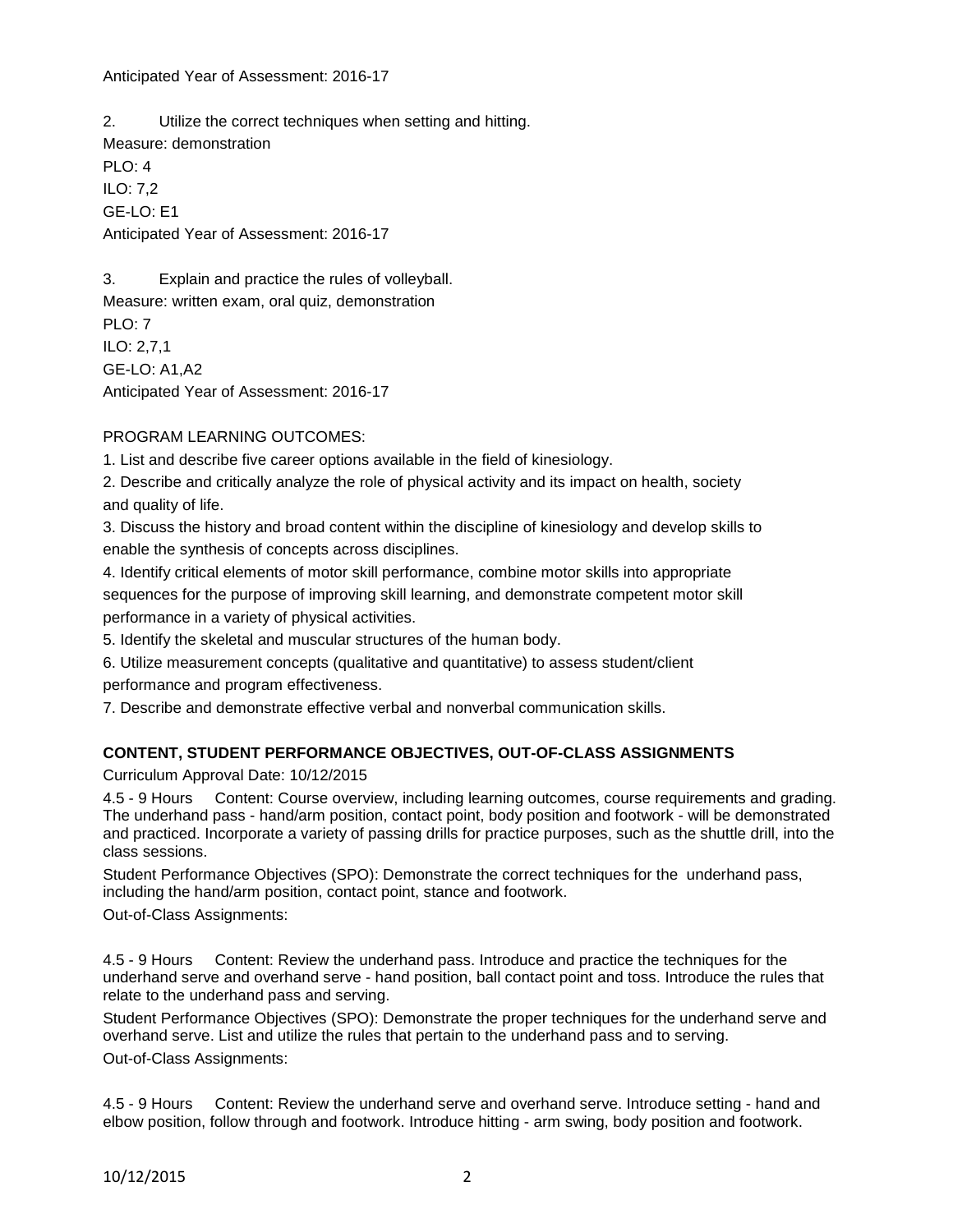### Anticipated Year of Assessment: 2016-17

2. Utilize the correct techniques when setting and hitting. Measure: demonstration PLO: 4 ILO: 7,2 GE-LO: E1 Anticipated Year of Assessment: 2016-17

3. Explain and practice the rules of volleyball. Measure: written exam, oral quiz, demonstration PLO: 7 ILO: 2,7,1 GE-LO: A1,A2 Anticipated Year of Assessment: 2016-17

# PROGRAM LEARNING OUTCOMES:

1. List and describe five career options available in the field of kinesiology.

2. Describe and critically analyze the role of physical activity and its impact on health, society and quality of life.

3. Discuss the history and broad content within the discipline of kinesiology and develop skills to enable the synthesis of concepts across disciplines.

4. Identify critical elements of motor skill performance, combine motor skills into appropriate sequences for the purpose of improving skill learning, and demonstrate competent motor skill performance in a variety of physical activities.

5. Identify the skeletal and muscular structures of the human body.

6. Utilize measurement concepts (qualitative and quantitative) to assess student/client performance and program effectiveness.

7. Describe and demonstrate effective verbal and nonverbal communication skills.

# **CONTENT, STUDENT PERFORMANCE OBJECTIVES, OUT-OF-CLASS ASSIGNMENTS**

Curriculum Approval Date: 10/12/2015

4.5 - 9 Hours Content: Course overview, including learning outcomes, course requirements and grading. The underhand pass - hand/arm position, contact point, body position and footwork - will be demonstrated and practiced. Incorporate a variety of passing drills for practice purposes, such as the shuttle drill, into the class sessions.

Student Performance Objectives (SPO): Demonstrate the correct techniques for the underhand pass, including the hand/arm position, contact point, stance and footwork.

Out-of-Class Assignments:

4.5 - 9 Hours Content: Review the underhand pass. Introduce and practice the techniques for the underhand serve and overhand serve - hand position, ball contact point and toss. Introduce the rules that relate to the underhand pass and serving.

Student Performance Objectives (SPO): Demonstrate the proper techniques for the underhand serve and overhand serve. List and utilize the rules that pertain to the underhand pass and to serving. Out-of-Class Assignments:

4.5 - 9 Hours Content: Review the underhand serve and overhand serve. Introduce setting - hand and elbow position, follow through and footwork. Introduce hitting - arm swing, body position and footwork.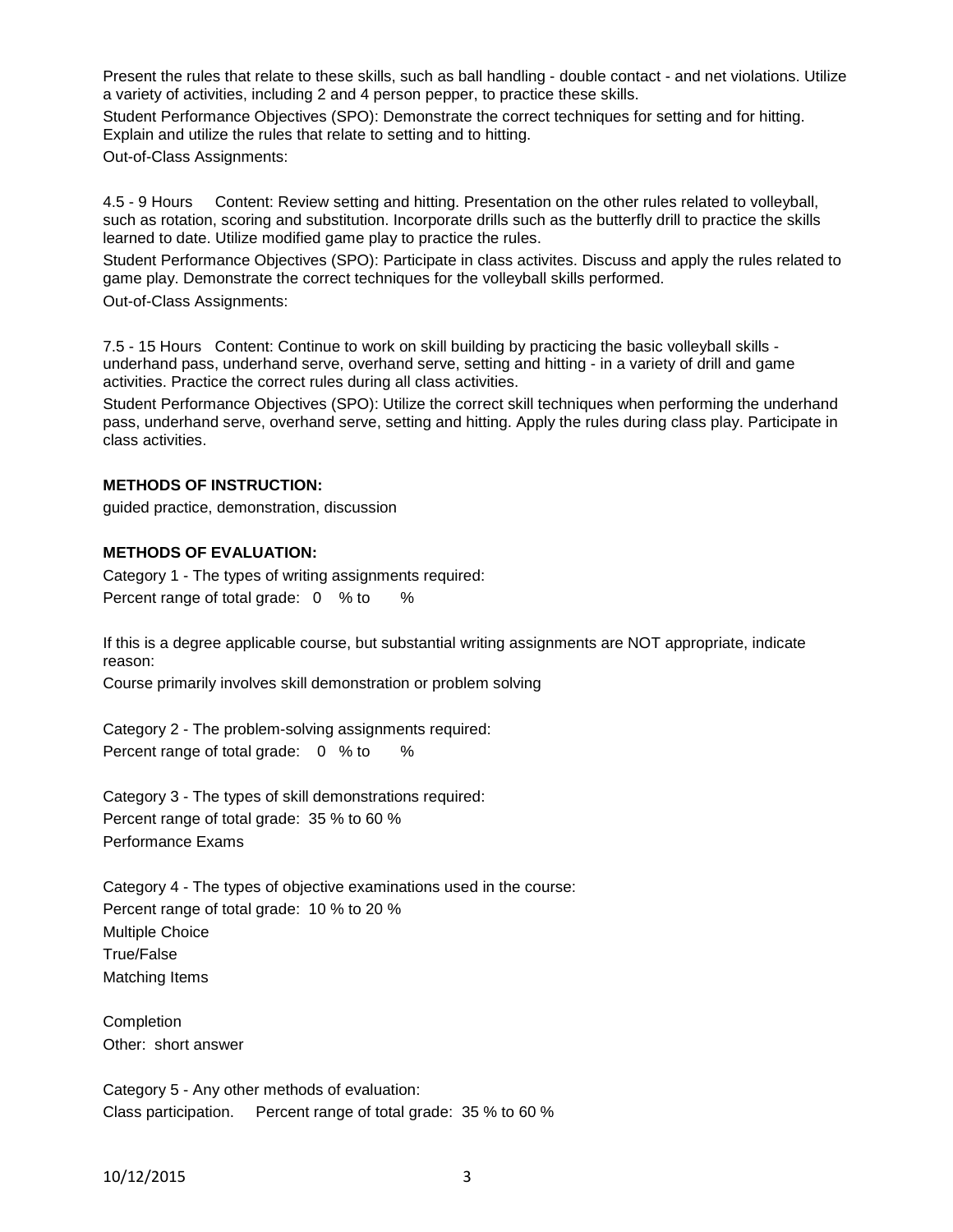Present the rules that relate to these skills, such as ball handling - double contact - and net violations. Utilize a variety of activities, including 2 and 4 person pepper, to practice these skills.

Student Performance Objectives (SPO): Demonstrate the correct techniques for setting and for hitting. Explain and utilize the rules that relate to setting and to hitting.

Out-of-Class Assignments:

4.5 - 9 Hours Content: Review setting and hitting. Presentation on the other rules related to volleyball, such as rotation, scoring and substitution. Incorporate drills such as the butterfly drill to practice the skills learned to date. Utilize modified game play to practice the rules.

Student Performance Objectives (SPO): Participate in class activites. Discuss and apply the rules related to game play. Demonstrate the correct techniques for the volleyball skills performed.

Out-of-Class Assignments:

7.5 - 15 Hours Content: Continue to work on skill building by practicing the basic volleyball skills underhand pass, underhand serve, overhand serve, setting and hitting - in a variety of drill and game activities. Practice the correct rules during all class activities.

Student Performance Objectives (SPO): Utilize the correct skill techniques when performing the underhand pass, underhand serve, overhand serve, setting and hitting. Apply the rules during class play. Participate in class activities.

#### **METHODS OF INSTRUCTION:**

guided practice, demonstration, discussion

#### **METHODS OF EVALUATION:**

Category 1 - The types of writing assignments required: Percent range of total grade: 0 % to %

If this is a degree applicable course, but substantial writing assignments are NOT appropriate, indicate reason:

Course primarily involves skill demonstration or problem solving

Category 2 - The problem-solving assignments required: Percent range of total grade: 0 % to %

Category 3 - The types of skill demonstrations required: Percent range of total grade: 35 % to 60 % Performance Exams

Category 4 - The types of objective examinations used in the course: Percent range of total grade: 10 % to 20 % Multiple Choice True/False Matching Items

Completion Other: short answer

Category 5 - Any other methods of evaluation: Class participation. Percent range of total grade: 35 % to 60 %